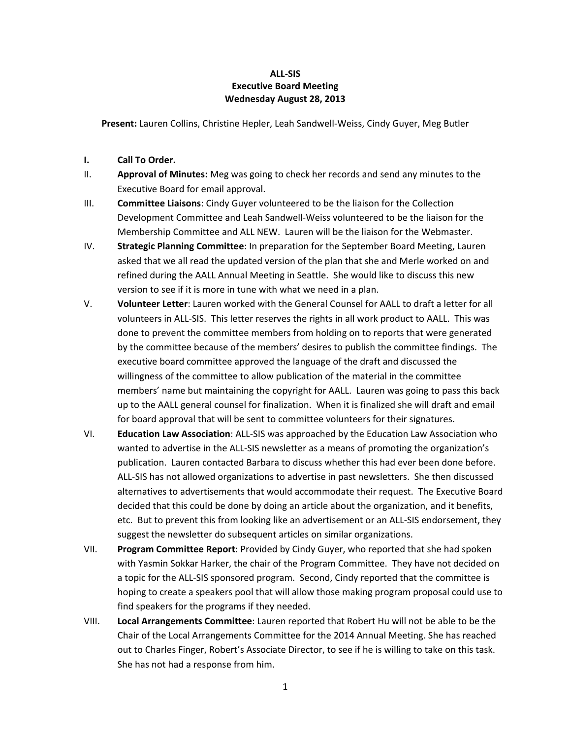## **ALL-SIS Executive Board Meeting Wednesday August 28, 2013**

**Present:** Lauren Collins, Christine Hepler, Leah Sandwell-Weiss, Cindy Guyer, Meg Butler

- **I. Call To Order.**
- II. **Approval of Minutes:** Meg was going to check her records and send any minutes to the Executive Board for email approval.
- III. **Committee Liaisons**: Cindy Guyer volunteered to be the liaison for the Collection Development Committee and Leah Sandwell-Weiss volunteered to be the liaison for the Membership Committee and ALL NEW. Lauren will be the liaison for the Webmaster.
- IV. **Strategic Planning Committee**: In preparation for the September Board Meeting, Lauren asked that we all read the updated version of the plan that she and Merle worked on and refined during the AALL Annual Meeting in Seattle. She would like to discuss this new version to see if it is more in tune with what we need in a plan.
- V. **Volunteer Letter**: Lauren worked with the General Counsel for AALL to draft a letter for all volunteers in ALL-SIS. This letter reserves the rights in all work product to AALL. This was done to prevent the committee members from holding on to reports that were generated by the committee because of the members' desires to publish the committee findings. The executive board committee approved the language of the draft and discussed the willingness of the committee to allow publication of the material in the committee members' name but maintaining the copyright for AALL. Lauren was going to pass this back up to the AALL general counsel for finalization. When it is finalized she will draft and email for board approval that will be sent to committee volunteers for their signatures.
- VI. **Education Law Association**: ALL-SIS was approached by the Education Law Association who wanted to advertise in the ALL-SIS newsletter as a means of promoting the organization's publication. Lauren contacted Barbara to discuss whether this had ever been done before. ALL-SIS has not allowed organizations to advertise in past newsletters. She then discussed alternatives to advertisements that would accommodate their request. The Executive Board decided that this could be done by doing an article about the organization, and it benefits, etc. But to prevent this from looking like an advertisement or an ALL-SIS endorsement, they suggest the newsletter do subsequent articles on similar organizations.
- VII. **Program Committee Report**: Provided by Cindy Guyer, who reported that she had spoken with Yasmin Sokkar Harker, the chair of the Program Committee. They have not decided on a topic for the ALL-SIS sponsored program. Second, Cindy reported that the committee is hoping to create a speakers pool that will allow those making program proposal could use to find speakers for the programs if they needed.
- VIII. **Local Arrangements Committee**: Lauren reported that Robert Hu will not be able to be the Chair of the Local Arrangements Committee for the 2014 Annual Meeting. She has reached out to Charles Finger, Robert's Associate Director, to see if he is willing to take on this task. She has not had a response from him.